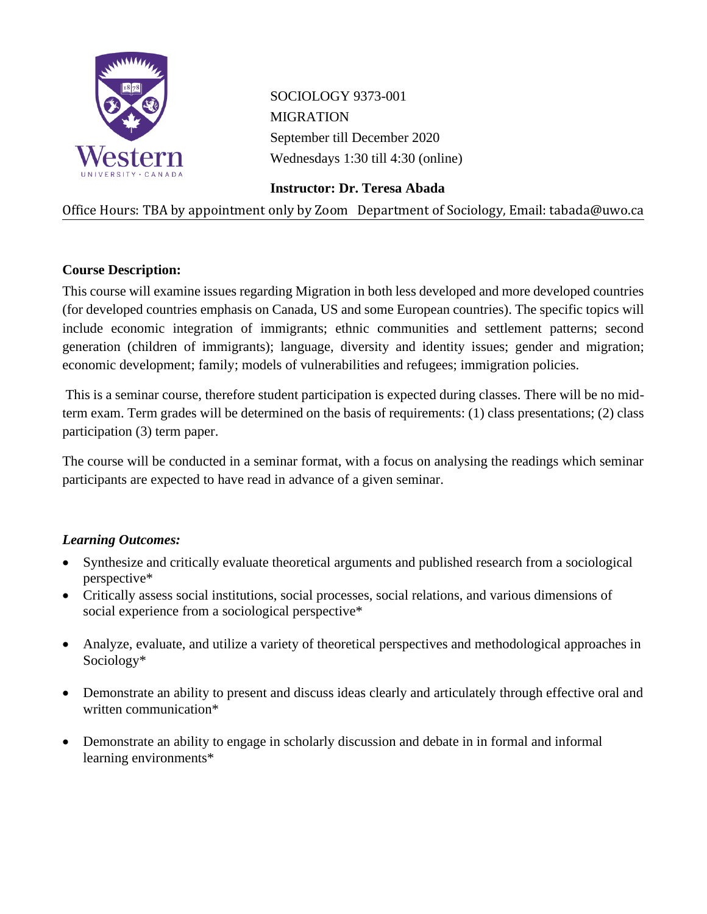

SOCIOLOGY 9373-001 MIGRATION September till December 2020 Wednesdays 1:30 till 4:30 (online)

**Instructor: Dr. Teresa Abada**

Office Hours: TBA by appointment only by Zoom Department of Sociology, Email: tabada@uwo.ca

# **Course Description:**

This course will examine issues regarding Migration in both less developed and more developed countries (for developed countries emphasis on Canada, US and some European countries). The specific topics will include economic integration of immigrants; ethnic communities and settlement patterns; second generation (children of immigrants); language, diversity and identity issues; gender and migration; economic development; family; models of vulnerabilities and refugees; immigration policies.

This is a seminar course, therefore student participation is expected during classes. There will be no midterm exam. Term grades will be determined on the basis of requirements: (1) class presentations; (2) class participation (3) term paper.

The course will be conducted in a seminar format, with a focus on analysing the readings which seminar participants are expected to have read in advance of a given seminar.

# *Learning Outcomes:*

- Synthesize and critically evaluate theoretical arguments and published research from a sociological perspective\*
- Critically assess social institutions, social processes, social relations, and various dimensions of social experience from a sociological perspective\*
- Analyze, evaluate, and utilize a variety of theoretical perspectives and methodological approaches in Sociology\*
- Demonstrate an ability to present and discuss ideas clearly and articulately through effective oral and written communication\*
- Demonstrate an ability to engage in scholarly discussion and debate in in formal and informal learning environments\*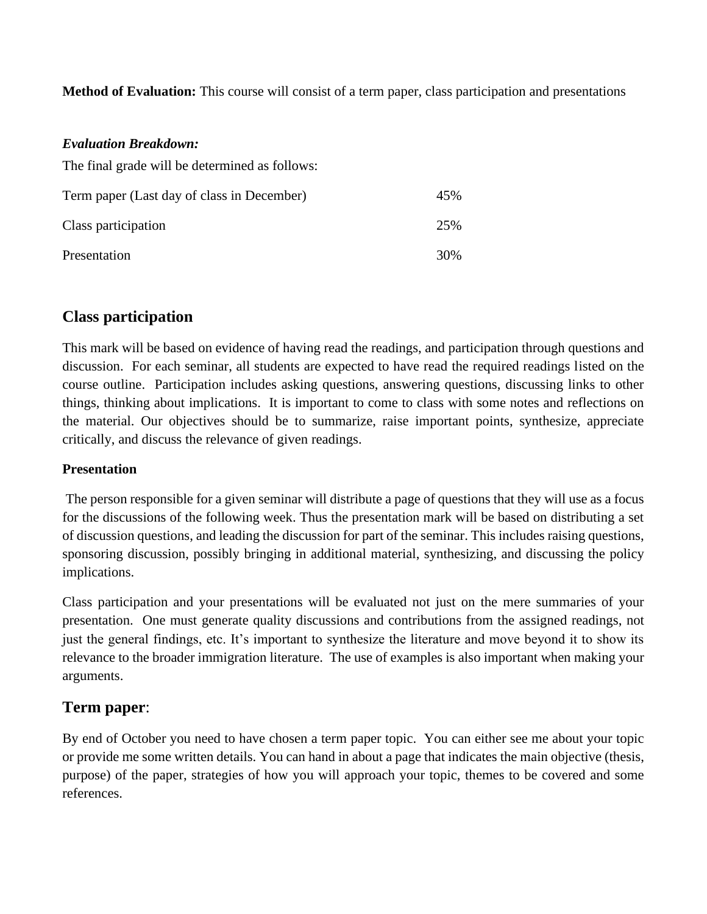**Method of Evaluation:** This course will consist of a term paper, class participation and presentations

### *Evaluation Breakdown:*

The final grade will be determined as follows:

| Term paper (Last day of class in December) | 45% |
|--------------------------------------------|-----|
| Class participation                        | 25% |
| Presentation                               | 30% |

# **Class participation**

This mark will be based on evidence of having read the readings, and participation through questions and discussion. For each seminar, all students are expected to have read the required readings listed on the course outline. Participation includes asking questions, answering questions, discussing links to other things, thinking about implications. It is important to come to class with some notes and reflections on the material. Our objectives should be to summarize, raise important points, synthesize, appreciate critically, and discuss the relevance of given readings.

# **Presentation**

The person responsible for a given seminar will distribute a page of questions that they will use as a focus for the discussions of the following week. Thus the presentation mark will be based on distributing a set of discussion questions, and leading the discussion for part of the seminar. This includes raising questions, sponsoring discussion, possibly bringing in additional material, synthesizing, and discussing the policy implications.

Class participation and your presentations will be evaluated not just on the mere summaries of your presentation. One must generate quality discussions and contributions from the assigned readings, not just the general findings, etc. It's important to synthesize the literature and move beyond it to show its relevance to the broader immigration literature. The use of examples is also important when making your arguments.

# **Term paper**:

By end of October you need to have chosen a term paper topic. You can either see me about your topic or provide me some written details. You can hand in about a page that indicates the main objective (thesis, purpose) of the paper, strategies of how you will approach your topic, themes to be covered and some references.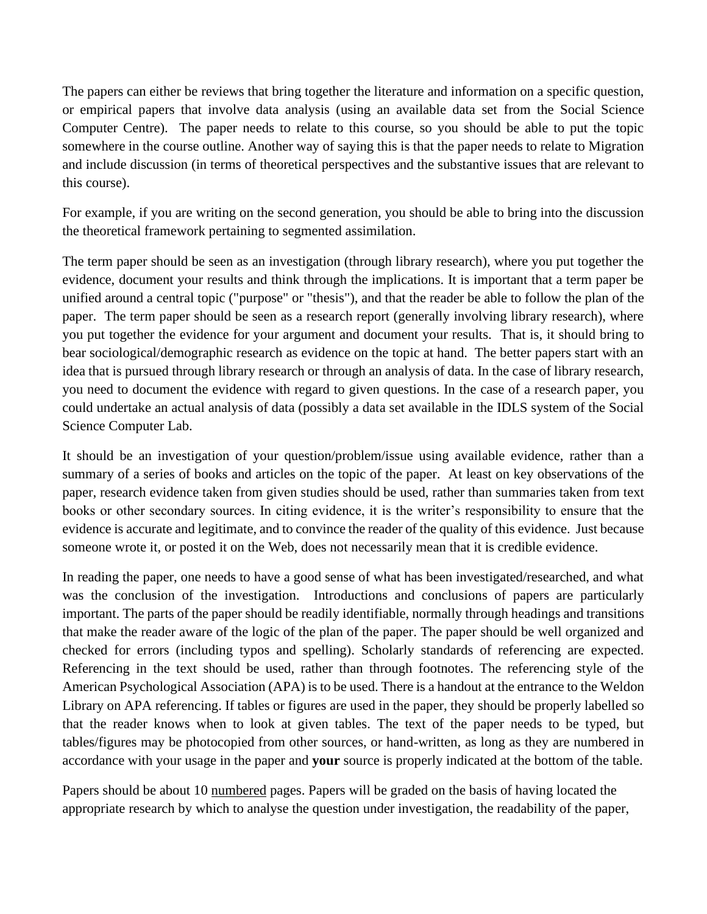The papers can either be reviews that bring together the literature and information on a specific question, or empirical papers that involve data analysis (using an available data set from the Social Science Computer Centre). The paper needs to relate to this course, so you should be able to put the topic somewhere in the course outline. Another way of saying this is that the paper needs to relate to Migration and include discussion (in terms of theoretical perspectives and the substantive issues that are relevant to this course).

For example, if you are writing on the second generation, you should be able to bring into the discussion the theoretical framework pertaining to segmented assimilation.

The term paper should be seen as an investigation (through library research), where you put together the evidence, document your results and think through the implications. It is important that a term paper be unified around a central topic ("purpose" or "thesis"), and that the reader be able to follow the plan of the paper. The term paper should be seen as a research report (generally involving library research), where you put together the evidence for your argument and document your results. That is, it should bring to bear sociological/demographic research as evidence on the topic at hand. The better papers start with an idea that is pursued through library research or through an analysis of data. In the case of library research, you need to document the evidence with regard to given questions. In the case of a research paper, you could undertake an actual analysis of data (possibly a data set available in the IDLS system of the Social Science Computer Lab.

It should be an investigation of your question/problem/issue using available evidence, rather than a summary of a series of books and articles on the topic of the paper. At least on key observations of the paper, research evidence taken from given studies should be used, rather than summaries taken from text books or other secondary sources. In citing evidence, it is the writer's responsibility to ensure that the evidence is accurate and legitimate, and to convince the reader of the quality of this evidence. Just because someone wrote it, or posted it on the Web, does not necessarily mean that it is credible evidence.

In reading the paper, one needs to have a good sense of what has been investigated/researched, and what was the conclusion of the investigation. Introductions and conclusions of papers are particularly important. The parts of the paper should be readily identifiable, normally through headings and transitions that make the reader aware of the logic of the plan of the paper. The paper should be well organized and checked for errors (including typos and spelling). Scholarly standards of referencing are expected. Referencing in the text should be used, rather than through footnotes. The referencing style of the American Psychological Association (APA) is to be used. There is a handout at the entrance to the Weldon Library on APA referencing. If tables or figures are used in the paper, they should be properly labelled so that the reader knows when to look at given tables. The text of the paper needs to be typed, but tables/figures may be photocopied from other sources, or hand-written, as long as they are numbered in accordance with your usage in the paper and **your** source is properly indicated at the bottom of the table.

Papers should be about 10 numbered pages. Papers will be graded on the basis of having located the appropriate research by which to analyse the question under investigation, the readability of the paper,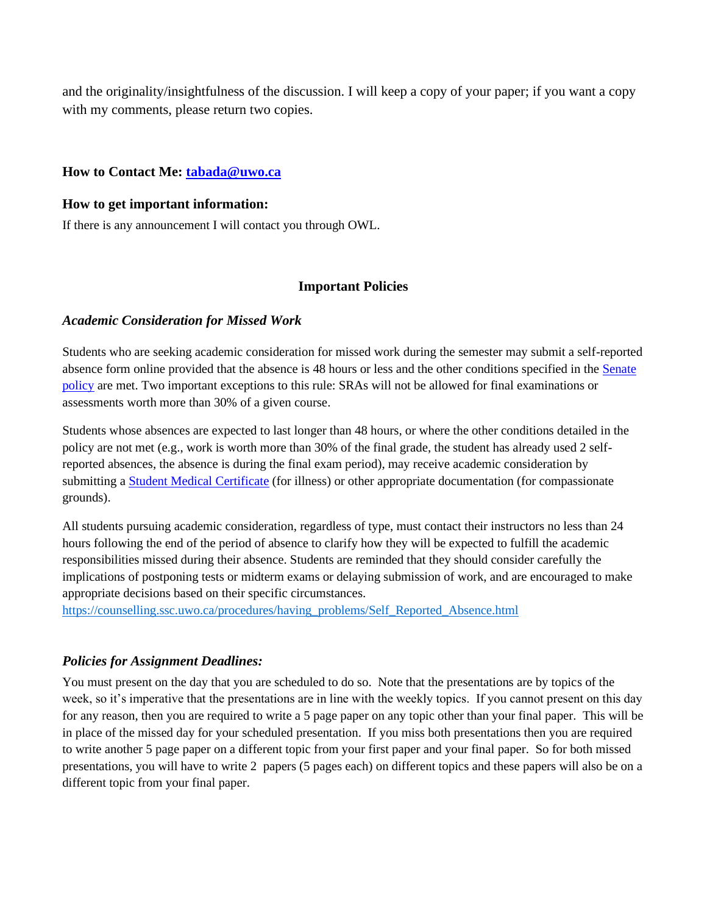and the originality/insightfulness of the discussion. I will keep a copy of your paper; if you want a copy with my comments, please return two copies.

### **How to Contact Me: [tabada@uwo.ca](mailto:tabada@uwo.ca)**

#### **How to get important information:**

If there is any announcement I will contact you through OWL.

### **Important Policies**

### *Academic Consideration for Missed Work*

Students who are seeking academic consideration for missed work during the semester may submit a self-reported absence form online provided that the absence is 48 hours or less and the other conditions specified in th[e Senate](https://www.uwo.ca/univsec/pdf/academic_policies/appeals/Academic_Consideration_for_absences.pdf) [policy](https://www.uwo.ca/univsec/pdf/academic_policies/appeals/Academic_Consideration_for_absences.pdf) are met. Two important exceptions to this rule: SRAs will not be allowed for final examinations or assessments worth more than 30% of a given course.

Students whose absences are expected to last longer than 48 hours, or where the other conditions detailed in the policy are not met (e.g., work is worth more than 30% of the final grade, the student has already used 2 selfreported absences, the absence is during the final exam period), may receive academic consideration by submitting a Student Medical [Certificate](https://www.uwo.ca/univsec/pdf/academic_policies/appeals/medicalform.pdf) (for illness) or other appropriate documentation (for compassionate grounds).

All students pursuing academic consideration, regardless of type, must contact their instructors no less than 24 hours following the end of the period of absence to clarify how they will be expected to fulfill the academic responsibilities missed during their absence. Students are reminded that they should consider carefully the implications of postponing tests or midterm exams or delaying submission of work, and are encouraged to make appropriate decisions based on their specific circumstances.

[https://counselling.ssc.uwo.ca/procedures/having\\_problems/Self\\_Reported\\_Absence.html](https://counselling.ssc.uwo.ca/procedures/having_problems/Self_Reported_Absence.html)

### *Policies for Assignment Deadlines:*

You must present on the day that you are scheduled to do so. Note that the presentations are by topics of the week, so it's imperative that the presentations are in line with the weekly topics. If you cannot present on this day for any reason, then you are required to write a 5 page paper on any topic other than your final paper. This will be in place of the missed day for your scheduled presentation. If you miss both presentations then you are required to write another 5 page paper on a different topic from your first paper and your final paper. So for both missed presentations, you will have to write 2 papers (5 pages each) on different topics and these papers will also be on a different topic from your final paper.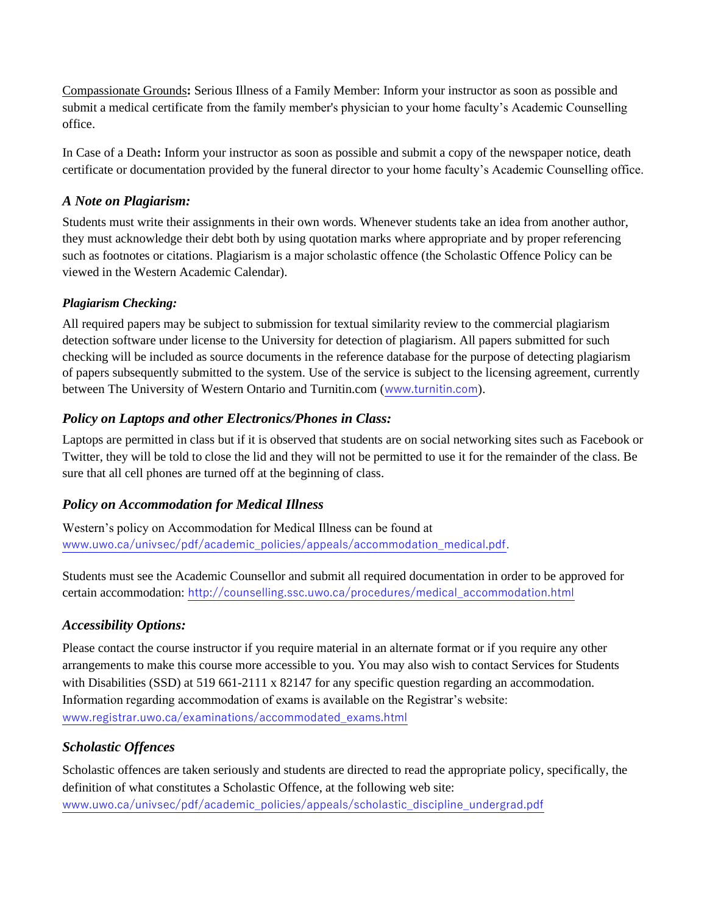Compassionate Grounds**:** Serious Illness of a Family Member: Inform your instructor as soon as possible and submit a medical certificate from the family member's physician to your home faculty's Academic Counselling office.

In Case of a Death**:** Inform your instructor as soon as possible and submit a copy of the newspaper notice, death certificate or documentation provided by the funeral director to your home faculty's Academic Counselling office.

# *A Note on Plagiarism:*

Students must write their assignments in their own words. Whenever students take an idea from another author, they must acknowledge their debt both by using quotation marks where appropriate and by proper referencing such as footnotes or citations. Plagiarism is a major scholastic offence (the Scholastic Offence Policy can be viewed in the Western Academic Calendar).

### *Plagiarism Checking:*

All required papers may be subject to submission for textual similarity review to the commercial plagiarism detection software under license to the University for detection of plagiarism. All papers submitted for such checking will be included as source documents in the reference database for the purpose of detecting plagiarism of papers subsequently submitted to the system. Use of the service is subject to the licensing agreement, currently between The University of Western Ontario and Turnitin.com ([www.turnitin.com](http://www.turnitin.com/)).

# *Policy on Laptops and other Electronics/Phones in Class:*

Laptops are permitted in class but if it is observed that students are on social networking sites such as Facebook or Twitter, they will be told to close the lid and they will not be permitted to use it for the remainder of the class. Be sure that all cell phones are turned off at the beginning of class.

# *Policy on Accommodation for Medical Illness*

Western's policy on Accommodation for Medical Illness can be found at [www.uwo.ca/univsec/pdf/academic\\_policies/appeals/accommodation\\_medical.pdf](http://www.uwo.ca/univsec/pdf/academic_policies/appeals/accommodation_medical.pdf).

Students must see the Academic Counsellor and submit all required documentation in order to be approved for certain accommodation: [http://counselling.ssc.uwo.ca/procedures/medical\\_accommodation.html](http://counselling.ssc.uwo.ca/procedures/medical_accommodation.html)

# *Accessibility Options:*

Please contact the course instructor if you require material in an alternate format or if you require any other arrangements to make this course more accessible to you. You may also wish to contact Services for Students with Disabilities (SSD) at 519 661-2111 x 82147 for any specific question regarding an accommodation. Information regarding accommodation of exams is available on the Registrar's website: [www.registrar.uwo.ca/examinations/accommodated\\_exams.html](http://www.registrar.uwo.ca/examinations/accommodated_exams.html)

# *Scholastic Offences*

Scholastic offences are taken seriously and students are directed to read the appropriate policy, specifically, the definition of what constitutes a Scholastic Offence, at the following web site: [www.uwo.ca/univsec/pdf/academic\\_policies/appeals/scholastic\\_discipline\\_undergrad.pdf](http://www.uwo.ca/univsec/pdf/academic_policies/appeals/scholastic_discipline_undergrad.pdf)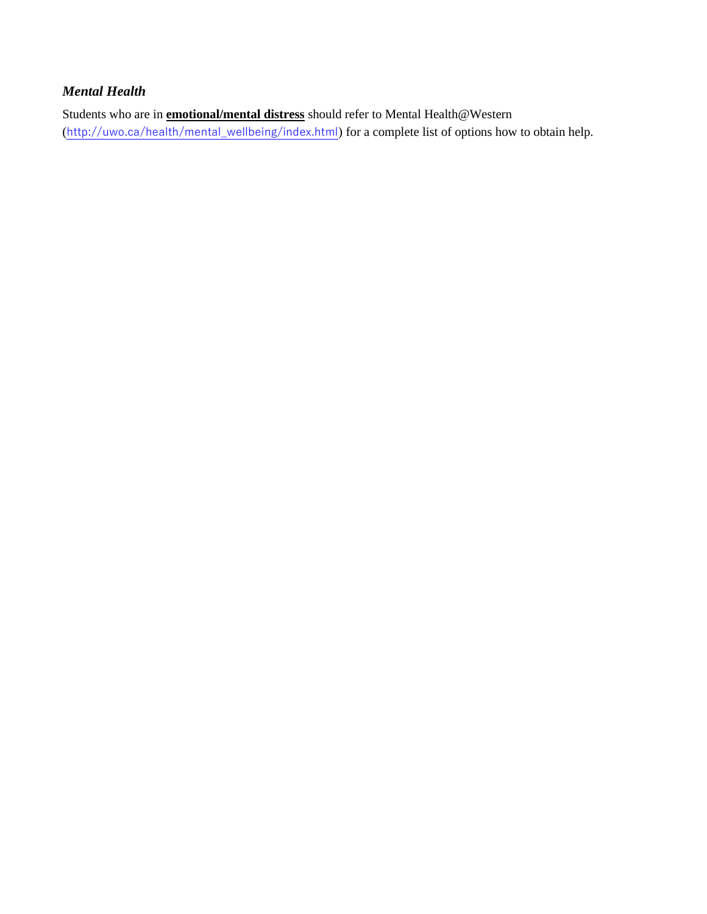# *Mental Health*

Students who are in **emotional/mental distress** should refer to Mental Health@Western ([http://uwo.ca/health/mental\\_wellbeing/index.html](http://uwo.ca/health/mental_wellbeing/index.html)) for a complete list of options how to obtain help.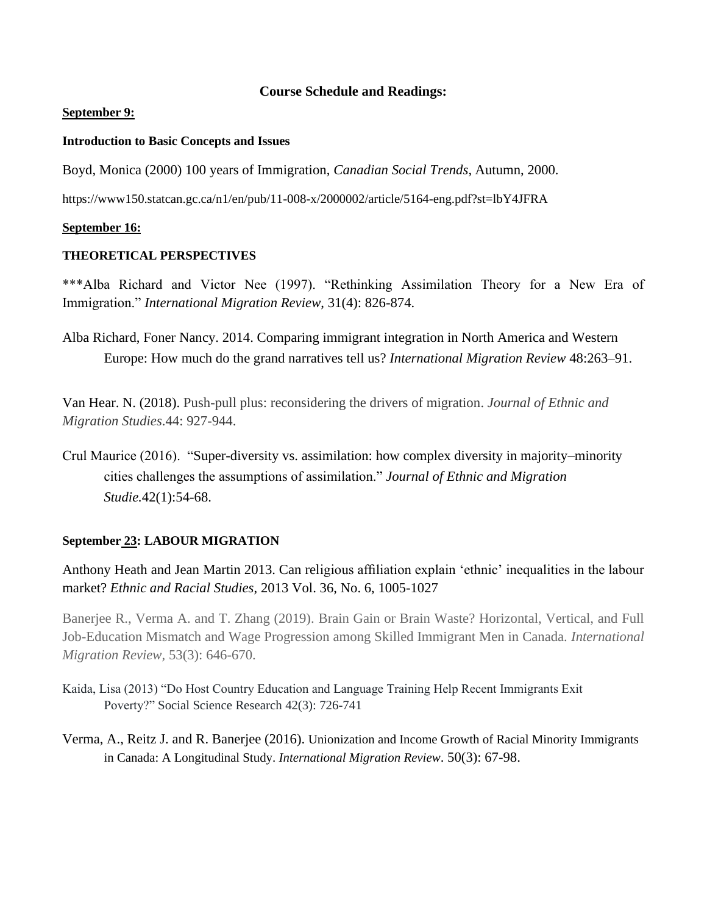### **Course Schedule and Readings:**

#### **September 9:**

#### **Introduction to Basic Concepts and Issues**

Boyd, Monica (2000) 100 years of Immigration, *Canadian Social Trends*, Autumn, 2000.

https://www150.statcan.gc.ca/n1/en/pub/11-008-x/2000002/article/5164-eng.pdf?st=lbY4JFRA

#### **September 16:**

#### **THEORETICAL PERSPECTIVES**

\*\*\*Alba Richard and Victor Nee (1997). "Rethinking Assimilation Theory for a New Era of Immigration." *International Migration Review*, 31(4): 826-874.

Alba Richard, Foner Nancy. 2014. Comparing immigrant integration in North America and Western Europe: How much do the grand narratives tell us? *International Migration Review* 48:263–91.

Van Hear. N. (2018). Push-pull plus: reconsidering the drivers of migration. *Journal of Ethnic and Migration Studies*.44: 927-944.

Crul Maurice (2016). "Super-diversity vs. assimilation: how complex diversity in majority–minority cities challenges the assumptions of assimilation." *Journal of Ethnic and Migration Studie.*42(1):54-68.

### **September 23: LABOUR MIGRATION**

Anthony Heath and Jean Martin 2013. Can religious affiliation explain 'ethnic' inequalities in the labour market? *Ethnic and Racial Studies*, 2013 Vol. 36, No. 6, 1005-1027

Banerjee R., Verma A. and T. Zhang (2019). Brain Gain or Brain Waste? Horizontal, Vertical, and Full Job-Education Mismatch and Wage Progression among Skilled Immigrant Men in Canada*. International Migration Review,* 53(3): 646-670.

- Kaida, Lisa (2013) "Do Host Country Education and Language Training Help Recent Immigrants Exit Poverty?" Social Science Research 42(3): 726-741
- Verma, A., Reitz J. and R. Banerjee (2016). Unionization and Income Growth of Racial Minority Immigrants in Canada: A Longitudinal Study. *International Migration Review*. 50(3): 67-98.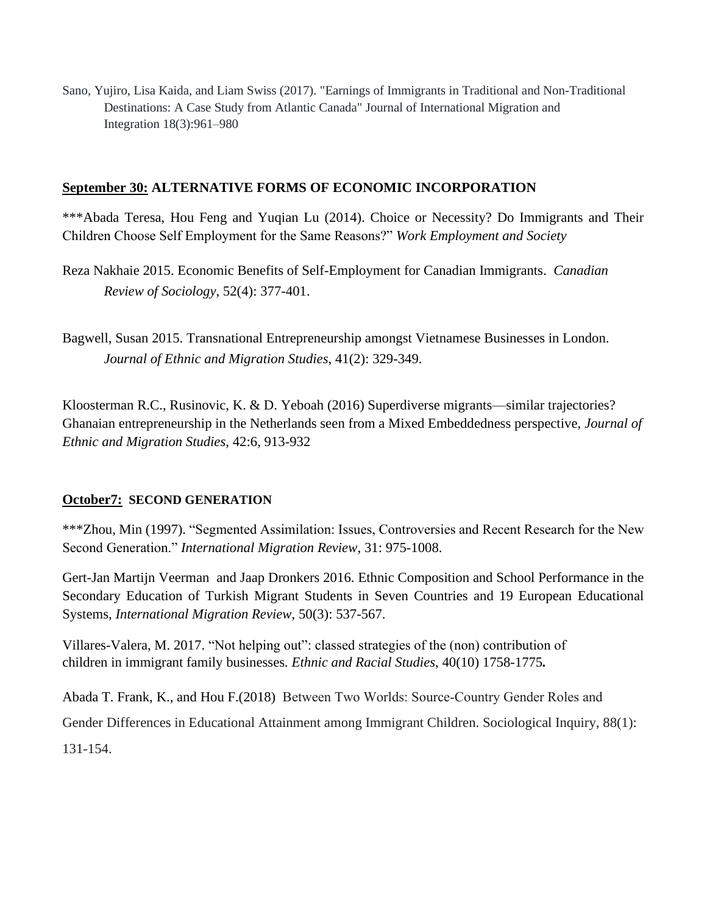Sano, Yujiro, Lisa Kaida, and Liam Swiss (2017). "Earnings of Immigrants in Traditional and Non-Traditional Destinations: A Case Study from Atlantic Canada" Journal of International Migration and Integration 18(3):961–980

### **September 30: ALTERNATIVE FORMS OF ECONOMIC INCORPORATION**

\*\*\*Abada Teresa, Hou Feng and Yuqian Lu (2014). Choice or Necessity? Do Immigrants and Their Children Choose Self Employment for the Same Reasons?" *Work Employment and Society*

- Reza Nakhaie 2015. Economic Benefits of Self-Employment for Canadian Immigrants. *Canadian Review of Sociology*, 52(4): 377-401.
- Bagwell, Susan 2015. Transnational Entrepreneurship amongst Vietnamese Businesses in London. *Journal of Ethnic and Migration Studies*, 41(2): 329-349.

Kloosterman R.C., Rusinovic, K. & D. Yeboah (2016) Superdiverse migrants—similar trajectories? Ghanaian entrepreneurship in the Netherlands seen from a Mixed Embeddedness perspective, *Journal of Ethnic and Migration Studies*, 42:6, 913-932

### **October7: SECOND GENERATION**

\*\*\*Zhou, Min (1997). "Segmented Assimilation: Issues, Controversies and Recent Research for the New Second Generation." *International Migration Review*, 31: 975-1008.

Gert-Jan Martijn Veerman and Jaap Dronkers 2016. Ethnic Composition and School Performance in the Secondary Education of Turkish Migrant Students in Seven Countries and 19 European Educational Systems, *International Migration Review*, 50(3): 537-567.

Villares-Valera, M. 2017. "Not helping out": classed strategies of the (non) contribution of children in immigrant family businesses*. Ethnic and Racial Studies*, 40(10) 1758-1775*.*

Abada T. Frank, K., and Hou F.(2018) Between Two Worlds: Source‐Country Gender Roles and Gender Differences in Educational Attainment among Immigrant Children. Sociological Inquiry, 88(1): 131-154.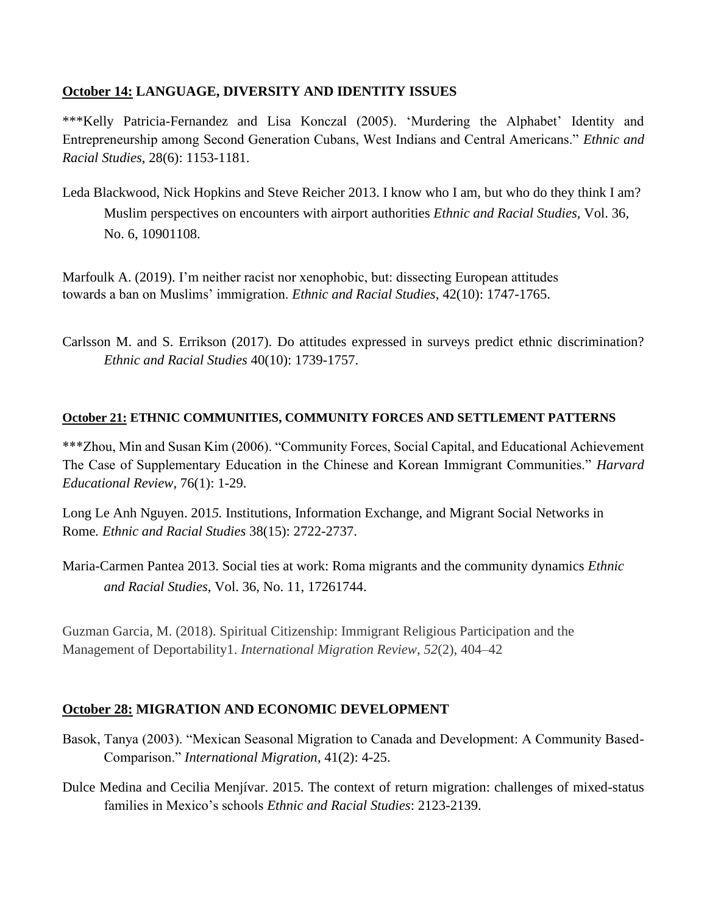# **October 14: LANGUAGE, DIVERSITY AND IDENTITY ISSUES**

\*\*\*Kelly Patricia-Fernandez and Lisa Konczal (2005). 'Murdering the Alphabet' Identity and Entrepreneurship among Second Generation Cubans, West Indians and Central Americans." *Ethnic and Racial Studies*, 28(6): 1153-1181.

Leda Blackwood, Nick Hopkins and Steve Reicher 2013. I know who I am, but who do they think I am? Muslim perspectives on encounters with airport authorities *Ethnic and Racial Studies,* Vol. 36, No. 6, 10901108.

Marfoulk A. (2019). I'm neither racist nor xenophobic, but: dissecting European attitudes towards a ban on Muslims' immigration. *Ethnic and Racial Studies*, 42(10): 1747-1765.

Carlsson M. and S. Errikson (2017). Do attitudes expressed in surveys predict ethnic discrimination? *Ethnic and Racial Studies* 40(10): 1739-1757.

### **October 21: ETHNIC COMMUNITIES, COMMUNITY FORCES AND SETTLEMENT PATTERNS**

\*\*\*Zhou, Min and Susan Kim (2006). "Community Forces, Social Capital, and Educational Achievement The Case of Supplementary Education in the Chinese and Korean Immigrant Communities." *Harvard Educational Review*, 76(1): 1-29.

Long Le Anh Nguyen. 201*5.* Institutions, Information Exchange, and Migrant Social Networks in Rome*. Ethnic and Racial Studies* 38(15): 2722-2737.

Maria-Carmen Pantea 2013. Social ties at work: Roma migrants and the community dynamics *Ethnic and Racial Studies*, Vol. 36, No. 11, 17261744.

Guzman Garcia, M. (2018). Spiritual Citizenship: Immigrant Religious Participation and the Management of Deportability1. *International Migration Review*, *52*(2), 404–42

# **October 28: MIGRATION AND ECONOMIC DEVELOPMENT**

- Basok, Tanya (2003). "Mexican Seasonal Migration to Canada and Development: A Community Based-Comparison." *International Migration*, 41(2): 4-25.
- Dulce Medina and Cecilia Menjívar. 2015. The context of return migration: challenges of mixed-status families in Mexico's schools *Ethnic and Racial Studies*: 2123-2139.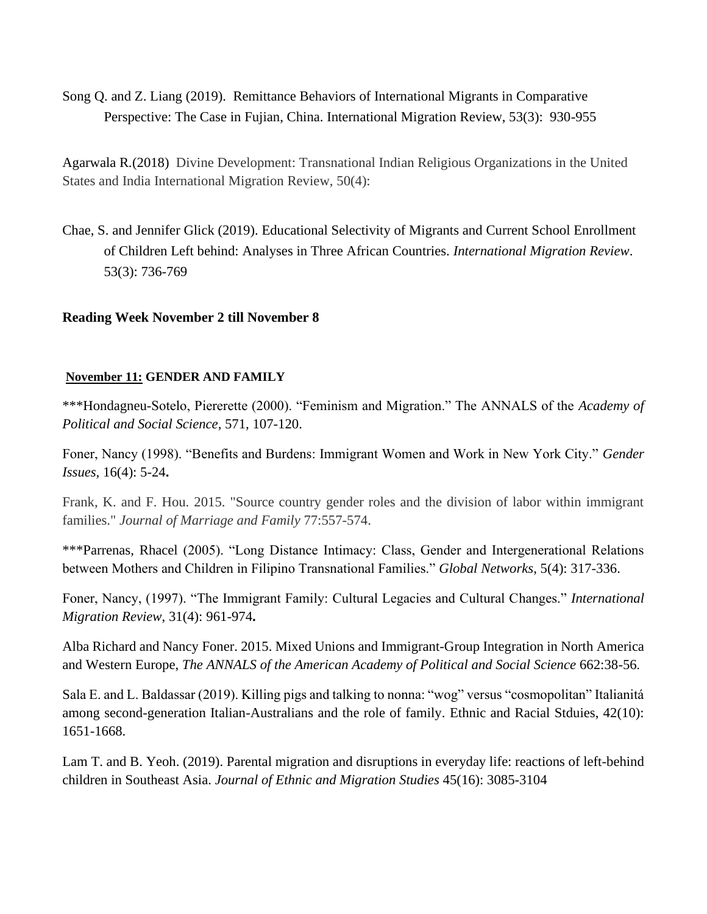Song Q. and Z. Liang (2019). Remittance Behaviors of International Migrants in Comparative Perspective: The Case in Fujian, China. International Migration Review, 53(3): 930-955

Agarwala R*.*(2018) Divine Development: Transnational Indian Religious Organizations in the United States and India International Migration Review, 50(4):

Chae, S. and Jennifer Glick (2019). Educational Selectivity of Migrants and Current School Enrollment of Children Left behind: Analyses in Three African Countries. *International Migration Review*. 53(3): 736-769

### **Reading Week November 2 till November 8**

#### **November 11: GENDER AND FAMILY**

\*\*\*Hondagneu-Sotelo, Piererette (2000). "Feminism and Migration." The ANNALS of the *Academy of Political and Social Science*, 571, 107-120.

Foner, Nancy (1998). "Benefits and Burdens: Immigrant Women and Work in New York City." *Gender Issues,* 16(4): 5-24**.** 

Frank, K. and F. Hou. 2015. "Source country gender roles and the division of labor within immigrant families." *Journal of Marriage and Family* 77:557-574.

\*\*\*Parrenas, Rhacel (2005). "Long Distance Intimacy: Class, Gender and Intergenerational Relations between Mothers and Children in Filipino Transnational Families." *Global Networks*, 5(4): 317-336.

Foner, Nancy, (1997). "The Immigrant Family: Cultural Legacies and Cultural Changes." *International Migration Review*, 31(4): 961-974**.** 

Alba Richard and Nancy Foner. 2015. Mixed Unions and Immigrant-Group Integration in North America and Western Europe, *The ANNALS of the American Academy of Political and Social Science* 662:38-56.

Sala E. and L. Baldassar (2019). Killing pigs and talking to nonna: "wog" versus "cosmopolitan" Italianitá among second-generation Italian-Australians and the role of family. Ethnic and Racial Stduies, 42(10): 1651-1668.

Lam T. and B. Yeoh. (2019). Parental migration and disruptions in everyday life: reactions of left-behind children in Southeast Asia. *Journal of Ethnic and Migration Studies* 45(16): 3085-3104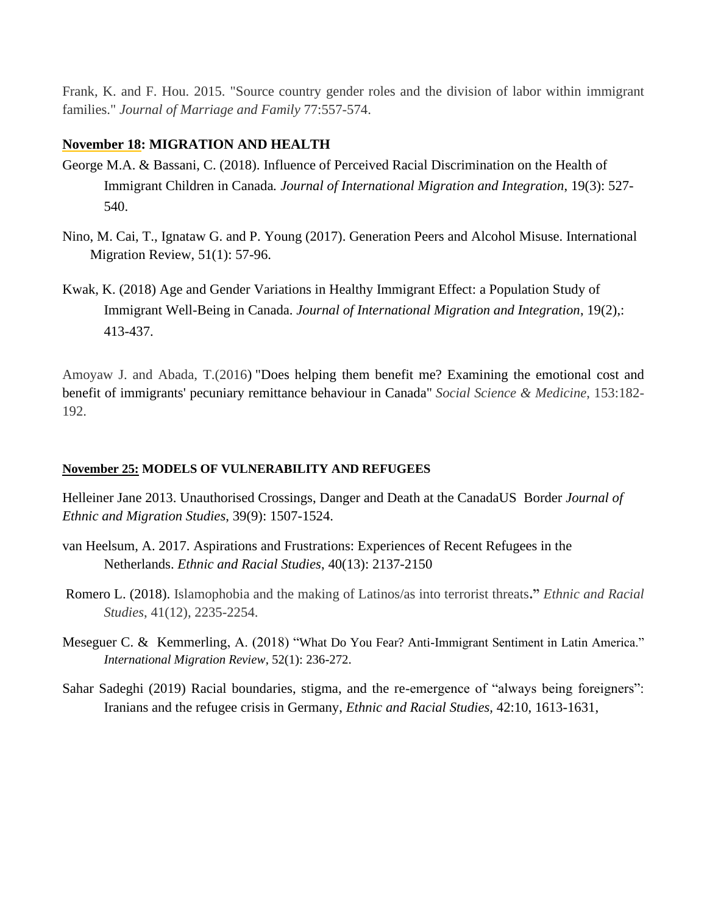Frank, K. and F. Hou. 2015. "Source country gender roles and the division of labor within immigrant families." *Journal of Marriage and Family* 77:557-574.

### **November 18: MIGRATION AND HEALTH**

- George M.A. & Bassani, C. (2018). Influence of Perceived Racial Discrimination on the Health of Immigrant Children in Canada*. Journal of International Migration and Integration*, 19(3): 527- 540.
- Nino, M. Cai, T., Ignataw G. and P. Young (2017). Generation Peers and Alcohol Misuse. International Migration Review, 51(1): 57-96.
- Kwak, K. (2018) Age and Gender Variations in Healthy Immigrant Effect: a Population Study of Immigrant Well-Being in Canada. *Journal of International Migration and Integration*, 19(2),: 413-437.

Amoyaw J. and Abada, T.(2016) "Does helping them benefit me? [Examining](http://www.sciencedirect.com/science/article/pii/S0277953616300624) the emotional cost and benefit of [immigrants'](http://www.sciencedirect.com/science/article/pii/S0277953616300624) pecuniary remittance behaviour in Canada" *Social Science & Medicine*, 153:182- 192.

### **November 25: MODELS OF VULNERABILITY AND REFUGEES**

Helleiner Jane 2013. Unauthorised Crossings, Danger and Death at the CanadaUS Border *Journal of Ethnic and Migration Studies*, 39(9): 1507-1524.

- van Heelsum, A. 2017. Aspirations and Frustrations: Experiences of Recent Refugees in the Netherlands. *Ethnic and Racial Studies*, 40(13): 2137-2150
- Romero L. (2018). Islamophobia and the making of Latinos/as into terrorist threats**."** *Ethnic and Racial Studies*, 41(12), 2235-2254.
- Meseguer C. & Kemmerling, A. (2018) "What Do You Fear? Anti-Immigrant Sentiment in Latin America." *International Migration Review*, 52(1): 236-272.
- Sahar Sadeghi (2019) Racial boundaries, stigma, and the re-emergence of "always being foreigners": Iranians and the refugee crisis in Germany, *Ethnic and Racial Studies,* 42:10, 1613-1631,